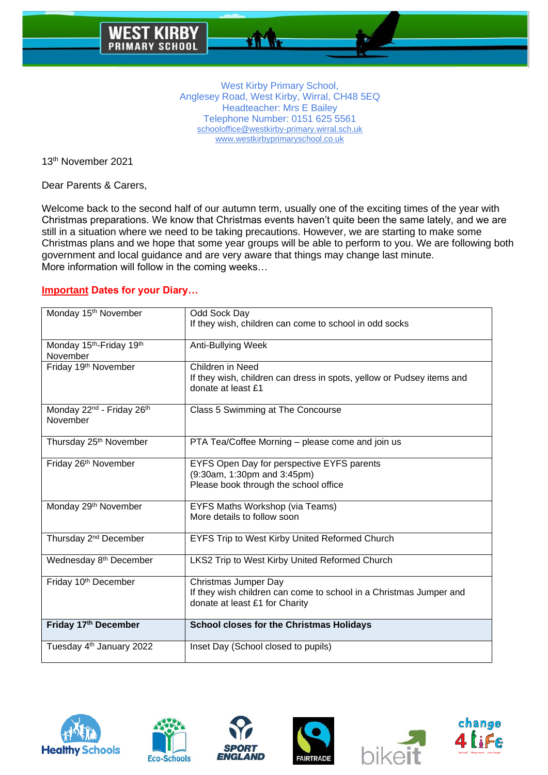13th November 2021

Dear Parents & Carers,

Welcome back to the second half of our autumn term, usually one of the exciting times of the year with Christmas preparations. We know that Christmas events haven't quite been the same lately, and we are still in a situation where we need to be taking precautions. However, we are starting to make some Christmas plans and we hope that some year groups will be able to perform to you. We are following both government and local guidance and are very aware that things may change last minute. More information will follow in the coming weeks…

# **Important Dates for your Diary…**

| Monday 15 <sup>th</sup> November                              | Odd Sock Day<br>If they wish, children can come to school in odd socks                                                       |
|---------------------------------------------------------------|------------------------------------------------------------------------------------------------------------------------------|
| Monday 15th-Friday 19th<br>November                           | Anti-Bullying Week                                                                                                           |
| Friday 19th November                                          | Children in Need<br>If they wish, children can dress in spots, yellow or Pudsey items and<br>donate at least £1              |
| Monday 22 <sup>nd</sup> - Friday 26 <sup>th</sup><br>November | Class 5 Swimming at The Concourse                                                                                            |
| Thursday 25 <sup>th</sup> November                            | PTA Tea/Coffee Morning - please come and join us                                                                             |
| Friday 26th November                                          | EYFS Open Day for perspective EYFS parents<br>(9:30am, 1:30pm and 3:45pm)<br>Please book through the school office           |
| Monday 29 <sup>th</sup> November                              | EYFS Maths Workshop (via Teams)<br>More details to follow soon                                                               |
| Thursday 2 <sup>nd</sup> December                             | EYFS Trip to West Kirby United Reformed Church                                                                               |
| Wednesday 8 <sup>th</sup> December                            | LKS2 Trip to West Kirby United Reformed Church                                                                               |
| Friday 10th December                                          | Christmas Jumper Day<br>If they wish children can come to school in a Christmas Jumper and<br>donate at least £1 for Charity |
| Friday 17th December                                          | <b>School closes for the Christmas Holidays</b>                                                                              |
| Tuesday 4 <sup>th</sup> January 2022                          | Inset Day (School closed to pupils)                                                                                          |











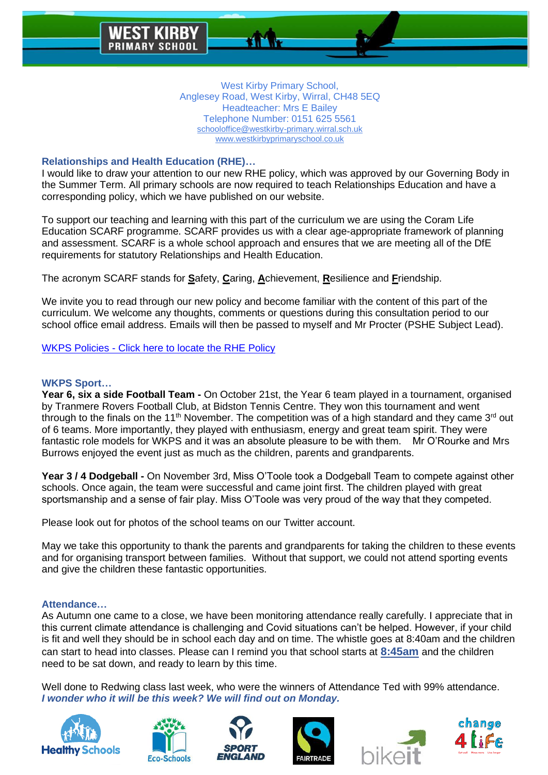## **Relationships and Health Education (RHE)…**

I would like to draw your attention to our new RHE policy, which was approved by our Governing Body in the Summer Term. All primary schools are now required to teach Relationships Education and have a corresponding policy, which we have published on our website.

To support our teaching and learning with this part of the curriculum we are using the Coram Life Education SCARF programme. SCARF provides us with a clear age-appropriate framework of planning and assessment. SCARF is a whole school approach and ensures that we are meeting all of the DfE requirements for statutory Relationships and Health Education.

The acronym SCARF stands for **S**afety, **C**aring, **A**chievement, **R**esilience and **F**riendship.

We invite you to read through our new policy and become familiar with the content of this part of the curriculum. We welcome any thoughts, comments or questions during this consultation period to our school office email address. Emails will then be passed to myself and Mr Procter (PSHE Subject Lead).

WKPS Policies - [Click here to locate the RHE Policy](https://www.westkirbyprimaryschool.co.uk/website/policies-and-procedures/17370)

# **WKPS Sport…**

**Year 6, six a side Football Team -** On October 21st, the Year 6 team played in a tournament, organised by Tranmere Rovers Football Club, at Bidston Tennis Centre. They won this tournament and went through to the finals on the 11<sup>th</sup> November. The competition was of a high standard and they came 3<sup>rd</sup> out of 6 teams. More importantly, they played with enthusiasm, energy and great team spirit. They were fantastic role models for WKPS and it was an absolute pleasure to be with them. Mr O'Rourke and Mrs Burrows enjoyed the event just as much as the children, parents and grandparents.

**Year 3 / 4 Dodgeball -** On November 3rd, Miss O'Toole took a Dodgeball Team to compete against other schools. Once again, the team were successful and came joint first. The children played with great sportsmanship and a sense of fair play. Miss O'Toole was very proud of the way that they competed.

Please look out for photos of the school teams on our Twitter account.

May we take this opportunity to thank the parents and grandparents for taking the children to these events and for organising transport between families. Without that support, we could not attend sporting events and give the children these fantastic opportunities.

## **Attendance…**

As Autumn one came to a close, we have been monitoring attendance really carefully. I appreciate that in this current climate attendance is challenging and Covid situations can't be helped. However, if your child is fit and well they should be in school each day and on time. The whistle goes at 8:40am and the children can start to head into classes. Please can I remind you that school starts at **8:45am** and the children need to be sat down, and ready to learn by this time.

Well done to Redwing class last week, who were the winners of Attendance Ted with 99% attendance. *I wonder who it will be this week? We will find out on Monday.* 











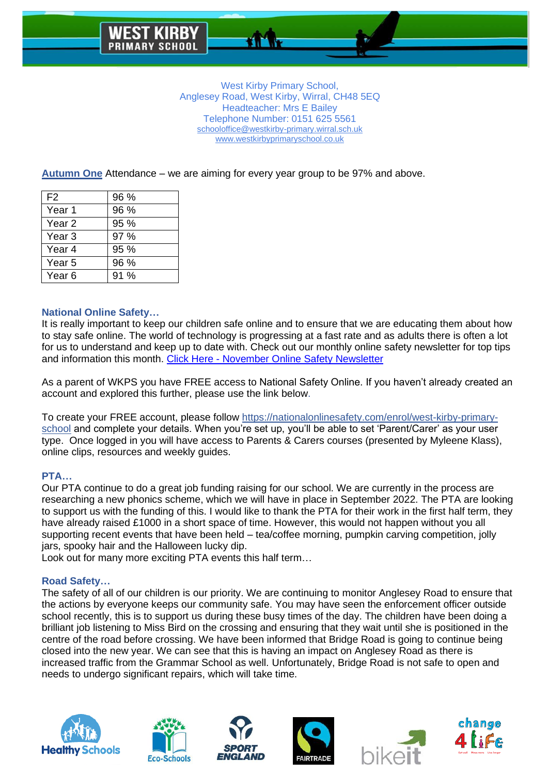**Autumn One** Attendance – we are aiming for every year group to be 97% and above.

| 96 % |
|------|
| 96 % |
| 95 % |
| 97 % |
| 95 % |
| 96 % |
| 91%  |
|      |

### **National Online Safety…**

It is really important to keep our children safe online and to ensure that we are educating them about how to stay safe online. The world of technology is progressing at a fast rate and as adults there is often a lot for us to understand and keep up to date with. Check out our monthly online safety newsletter for top tips and information this month. Click Here - [November Online Safety Newsletter](https://www.westkirbyprimaryschool.co.uk/website/online_safety_newsletters/572458) 

As a parent of WKPS you have FREE access to National Safety Online. If you haven't already created an account and explored this further, please use the link below.

To create your FREE account, please follow [https://nationalonlinesafety.com/enrol/west-kirby-primary](about:blank)[school](about:blank) and complete your details. When you're set up, you'll be able to set 'Parent/Carer' as your user type. Once logged in you will have access to Parents & Carers courses (presented by Myleene Klass), online clips, resources and weekly guides.

## **PTA…**

Our PTA continue to do a great job funding raising for our school. We are currently in the process are researching a new phonics scheme, which we will have in place in September 2022. The PTA are looking to support us with the funding of this. I would like to thank the PTA for their work in the first half term, they have already raised £1000 in a short space of time. However, this would not happen without you all supporting recent events that have been held – tea/coffee morning, pumpkin carving competition, jolly jars, spooky hair and the Halloween lucky dip.

Look out for many more exciting PTA events this half term…

### **Road Safety…**

The safety of all of our children is our priority. We are continuing to monitor Anglesey Road to ensure that the actions by everyone keeps our community safe. You may have seen the enforcement officer outside school recently, this is to support us during these busy times of the day. The children have been doing a brilliant job listening to Miss Bird on the crossing and ensuring that they wait until she is positioned in the centre of the road before crossing. We have been informed that Bridge Road is going to continue being closed into the new year. We can see that this is having an impact on Anglesey Road as there is increased traffic from the Grammar School as well. Unfortunately, Bridge Road is not safe to open and needs to undergo significant repairs, which will take time.